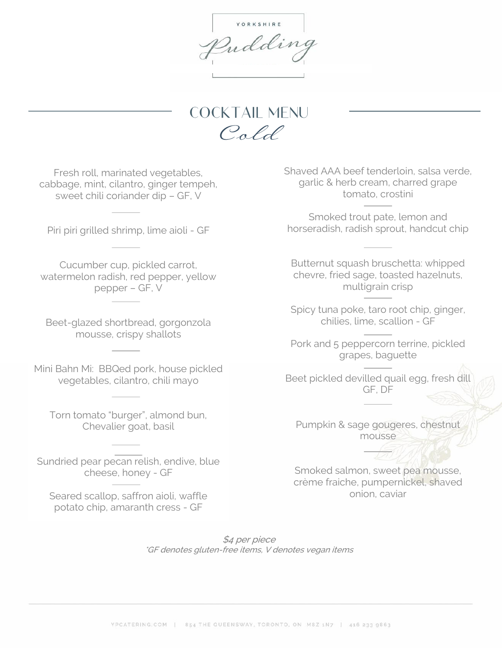Y O R K S H I R E Indding

**COCKTAIL MENU** Cold

Fresh roll, marinated vegetables, cabbage, mint, cilantro, ginger tempeh, sweet chili coriander dip – GF, V

Piri piri grilled shrimp, lime aioli - GF

Cucumber cup, pickled carrot, watermelon radish, red pepper, yellow pepper – GF, V

Beet-glazed shortbread, gorgonzola mousse, crispy shallots

Mini Bahn Mi: BBQed pork, house pickled vegetables, cilantro, chili mayo

Torn tomato "burger", almond bun, Chevalier goat, basil

Sundried pear pecan relish, endive, blue cheese, honey - GF

Seared scallop, saffron aioli, waffle potato chip, amaranth cress - GF

Shaved AAA beef tenderloin, salsa verde, garlic & herb cream, charred grape tomato, crostini

Smoked trout pate, lemon and horseradish, radish sprout, handcut chip

Butternut squash bruschetta: whipped chevre, fried sage, toasted hazelnuts, multigrain crisp

Spicy tuna poke, taro root chip, ginger, chilies, lime, scallion - GF

Pork and 5 peppercorn terrine, pickled grapes, baguette

Beet pickled devilled quail egg, fresh dill GF, DF

Pumpkin & sage gougeres, chestnut mousse

Smoked salmon, sweet pea mousse, crème fraiche, pumpernickel, shaved onion, caviar

\$4 per piece \*GF denotes gluten-free items, V denotes vegan items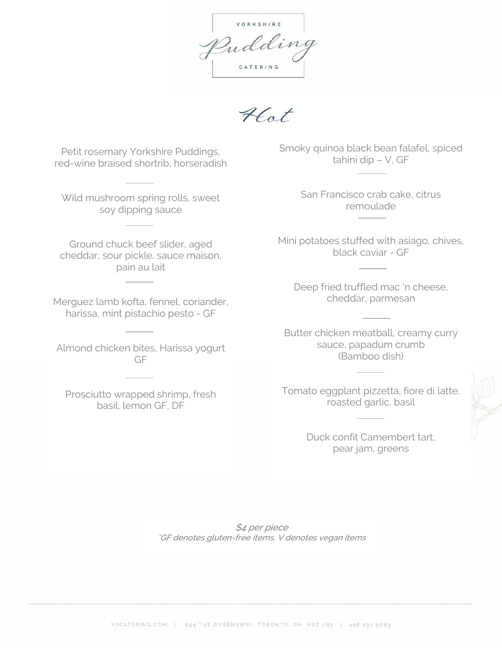YORKSHIRE Indding CATERING

Hot

Petit rosemary Yorkshire Puddings, red-wine braised shortrib, horseradish

Wild mushroom spring rolls, sweet soy dipping sauce

Ground chuck beef slider, aged cheddar, sour pickle, sauce maison, pain au lait

Merguez lamb kofta, fennel, coriander, harissa, mint pistachio pesto - GF

Almond chicken bites, Harissa yogurt GF

Prosciutto wrapped shrimp, fresh basil, lemon GF, DF

Smoky quinoa black bean falafel, spiced tahini dip – V, GF

> San Francisco crab cake, citrus remoulade

Mini potatoes stuffed with asiago, chives, black caviar - GF

Deep fried truffled mac 'n cheese, cheddar, parmesan

Butter chicken meatball, creamy curry sauce, papadum crumb (Bamboo dish)

Tomato eggplant pizzetta, fiore di latte, roasted garlic, basil

> Duck confit Camembert tart, pear jam, greens

\$4 per piece \*GF denotes gluten-free items, V denotes vegan items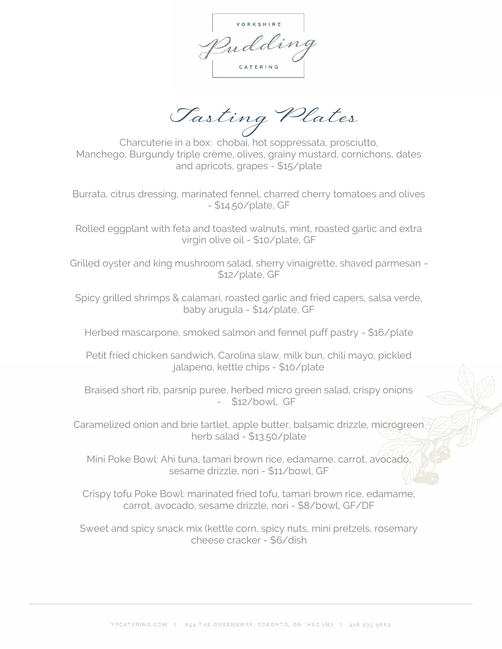Y O R K S H I R E Indding CATERING

Tasting Plates

Charcuterie in a box: chobai, hot soppressata, prosciutto, Manchego, Burgundy triple crème, olives, grainy mustard, cornichons, dates and apricots, grapes - \$15/plate

Burrata, citrus dressing, marinated fennel, charred cherry tomatoes and olives - \$14.50/plate, GF

Rolled eggplant with feta and toasted walnuts, mint, roasted garlic and extra virgin olive oil - \$10/plate, GF

Grilled oyster and king mushroom salad, sherry vinaigrette, shaved parmesan - \$12/plate, GF

Spicy grilled shrimps & calamari, roasted garlic and fried capers, salsa verde, baby arugula - \$14/plate, GF

Herbed mascarpone, smoked salmon and fennel puff pastry - \$16/plate

Petit fried chicken sandwich, Carolina slaw, milk bun, chili mayo, pickled jalapeno, kettle chips - \$10/plate

Braised short rib, parsnip puree, herbed micro green salad, crispy onions - \$12/bowl, GF

Caramelized onion and brie tartlet, apple butter, balsamic drizzle, microgreen herb salad - \$13.50/plate

Mini Poke Bowl: Ahi tuna, tamari brown rice, edamame, carrot, avocado, sesame drizzle, nori - \$11/bowl, GF

Crispy tofu Poke Bowl: marinated fried tofu, tamari brown rice, edamame, carrot, avocado, sesame drizzle, nori - \$8/bowl, GF/DF

Sweet and spicy snack mix (kettle corn, spicy nuts, mini pretzels, rosemary cheese cracker - \$6/dish